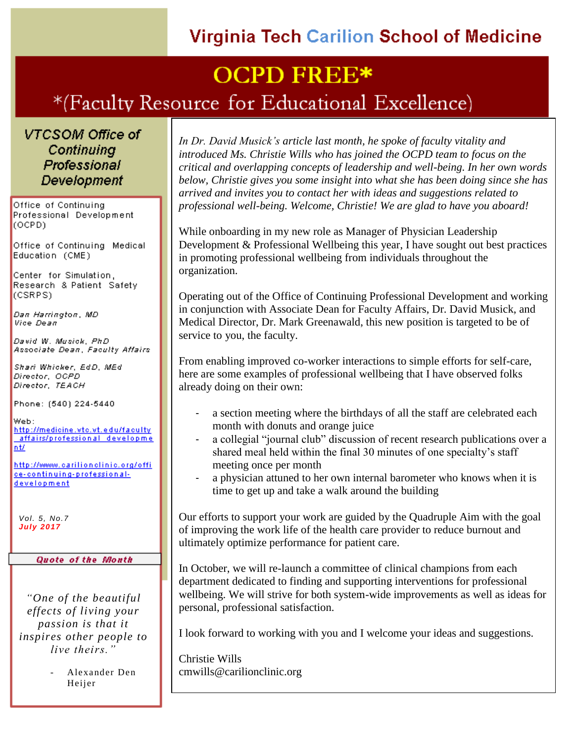### **Virginia Tech Carilion School of Medicine**

## **OCPD FREE\***

### \*(Faculty Resource for Educational Excellence)

VTCSOM Office of Continuina **Professional Development** 

Office of Continuing Professional Development  $(OCPD)$ 

Office of Continuing Medical Education (CME)

Center for Simulation. Research & Patient Safety (CSRPS)

Dan Harrington, MD Vice Dean

David W. Musick, PhD Associate Dean, Faculty Affairs

Shari Whicker, EdD, MEd Director, OCPD Director, TEACH

Phone: (540) 224-5440

Web: http://medicine.vtc.vt.edu/faculty affairs/professional developme <u>nt/</u>

http://www.carilionclinic.org/offi ce-continuing-professionaldevelopment

*Vol. 5, No.7 July 2017*

#### **Quote of the Month**

*"One of the beautiful effects of living your passion is that it inspires other people to live theirs."*

> - Alexander Den Heijer

*In Dr. David Musick's article last month, he spoke of faculty vitality and introduced Ms. Christie Wills who has joined the OCPD team to focus on the critical and overlapping concepts of leadership and well-being. In her own words below, Christie gives you some insight into what she has been doing since she has arrived and invites you to contact her with ideas and suggestions related to professional well-being. Welcome, Christie! We are glad to have you aboard!*

While onboarding in my new role as Manager of Physician Leadership Development & Professional Wellbeing this year, I have sought out best practices in promoting professional wellbeing from individuals throughout the organization.

Operating out of the Office of Continuing Professional Development and working in conjunction with Associate Dean for Faculty Affairs, Dr. David Musick, and Medical Director, Dr. Mark Greenawald, this new position is targeted to be of service to you, the faculty.

From enabling improved co-worker interactions to simple efforts for self-care, here are some examples of professional wellbeing that I have observed folks already doing on their own:

- a section meeting where the birthdays of all the staff are celebrated each month with donuts and orange juice
- a collegial "journal club" discussion of recent research publications over a shared meal held within the final 30 minutes of one specialty's staff meeting once per month
- a physician attuned to her own internal barometer who knows when it is time to get up and take a walk around the building

Our efforts to support your work are guided by the Quadruple Aim with the goal of improving the work life of the health care provider to reduce burnout and ultimately optimize performance for patient care.

In October, we will re-launch a committee of clinical champions from each department dedicated to finding and supporting interventions for professional wellbeing. We will strive for both system-wide improvements as well as ideas for personal, professional satisfaction.

I look forward to working with you and I welcome your ideas and suggestions.

Christie Wills cmwills@carilionclinic.org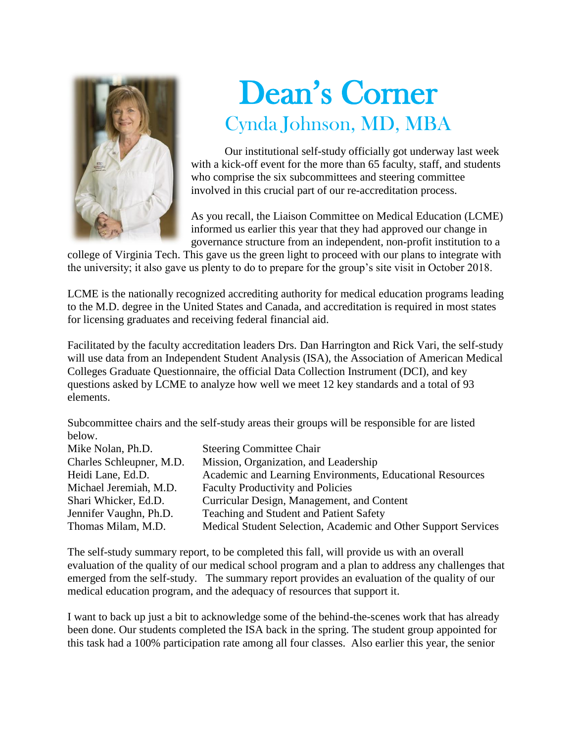

# Dean's Corner Cynda Johnson, MD, MBA

Our institutional self-study officially got underway last week with a kick-off event for the more than 65 faculty, staff, and students who comprise the six subcommittees and steering committee involved in this crucial part of our re-accreditation process.

As you recall, the Liaison Committee on Medical Education (LCME) informed us earlier this year that they had approved our change in governance structure from an independent, non-profit institution to a

college of Virginia Tech. This gave us the green light to proceed with our plans to integrate with the university; it also gave us plenty to do to prepare for the group's site visit in October 2018.

LCME is the nationally recognized accrediting authority for medical education programs leading to the M.D. degree in the United States and Canada, and accreditation is required in most states for licensing graduates and receiving federal financial aid.

Facilitated by the faculty accreditation leaders Drs. Dan Harrington and Rick Vari, the self-study will use data from an Independent Student Analysis (ISA), the Association of American Medical Colleges Graduate Questionnaire, the official Data Collection Instrument (DCI), and key questions asked by LCME to analyze how well we meet 12 key standards and a total of 93 elements.

Subcommittee chairs and the self-study areas their groups will be responsible for are listed below.

| Mike Nolan, Ph.D.        | <b>Steering Committee Chair</b>                                |
|--------------------------|----------------------------------------------------------------|
| Charles Schleupner, M.D. | Mission, Organization, and Leadership                          |
| Heidi Lane, Ed.D.        | Academic and Learning Environments, Educational Resources      |
| Michael Jeremiah, M.D.   | <b>Faculty Productivity and Policies</b>                       |
| Shari Whicker, Ed.D.     | Curricular Design, Management, and Content                     |
| Jennifer Vaughn, Ph.D.   | Teaching and Student and Patient Safety                        |
| Thomas Milam, M.D.       | Medical Student Selection, Academic and Other Support Services |
|                          |                                                                |

The self-study summary report, to be completed this fall, will provide us with an overall evaluation of the quality of our medical school program and a plan to address any challenges that emerged from the self-study. The summary report provides an evaluation of the quality of our medical education program, and the adequacy of resources that support it.

I want to back up just a bit to acknowledge some of the behind-the-scenes work that has already been done. Our students completed the ISA back in the spring. The student group appointed for this task had a 100% participation rate among all four classes. Also earlier this year, the senior